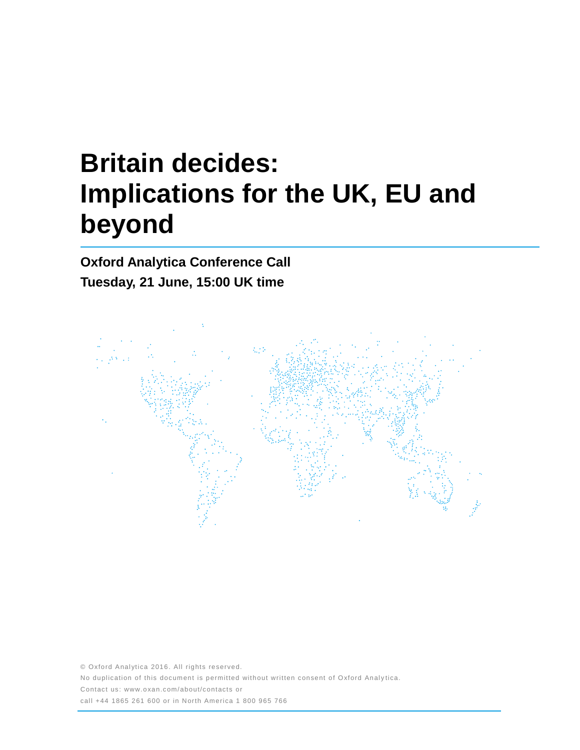# **Britain decides: Implications for the UK, EU and beyond**

**Oxford Analytica Conference Call Tuesday, 21 June, 15:00 UK time**



© Oxford Analytica 2016. All rights reserved. No duplication of this document is permitted without written consent of Oxford Analytica. Contact us: www.oxan.com/about/contacts or call +44 1865 261 600 or in North America 1 800 965 766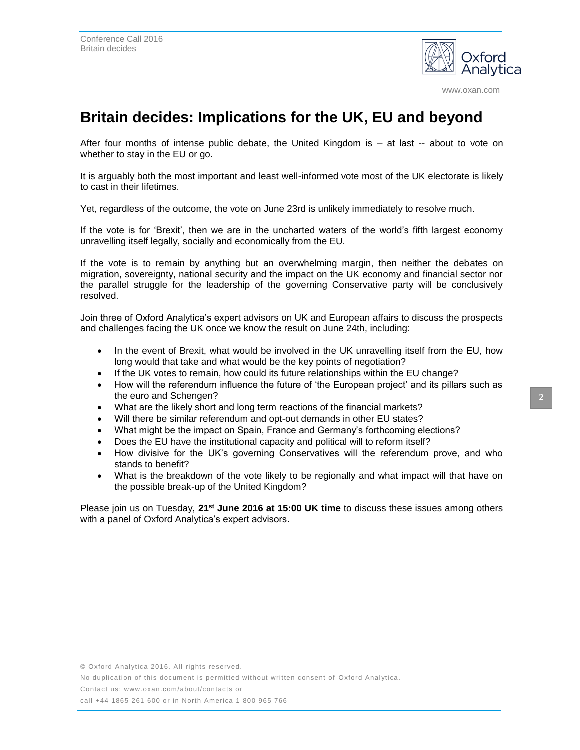

www.oxan.com

# **Britain decides: Implications for the UK, EU and beyond**

After four months of intense public debate, the United Kingdom is – at last -- about to vote on whether to stay in the EU or go.

It is arguably both the most important and least well-informed vote most of the UK electorate is likely to cast in their lifetimes.

Yet, regardless of the outcome, the vote on June 23rd is unlikely immediately to resolve much.

If the vote is for 'Brexit', then we are in the uncharted waters of the world's fifth largest economy unravelling itself legally, socially and economically from the EU.

If the vote is to remain by anything but an overwhelming margin, then neither the debates on migration, sovereignty, national security and the impact on the UK economy and financial sector nor the parallel struggle for the leadership of the governing Conservative party will be conclusively resolved.

Join three of Oxford Analytica's expert advisors on UK and European affairs to discuss the prospects and challenges facing the UK once we know the result on June 24th, including:

- In the event of Brexit, what would be involved in the UK unravelling itself from the EU, how long would that take and what would be the key points of negotiation?
- If the UK votes to remain, how could its future relationships within the EU change?
- How will the referendum influence the future of 'the European project' and its pillars such as the euro and Schengen?
- What are the likely short and long term reactions of the financial markets?
- Will there be similar referendum and opt-out demands in other EU states?
- What might be the impact on Spain, France and Germany's forthcoming elections?
- Does the EU have the institutional capacity and political will to reform itself?
- How divisive for the UK's governing Conservatives will the referendum prove, and who stands to benefit?
- What is the breakdown of the vote likely to be regionally and what impact will that have on the possible break-up of the United Kingdom?

Please join us on Tuesday, **21st June 2016 at 15:00 UK time** to discuss these issues among others with a panel of Oxford Analytica's expert advisors.

No duplication of this document is permitted without written consent of Oxford Analytica.

Contact us: www.oxan.com/about/contacts or

call +44 1865 261 600 or in North America 1 800 965 766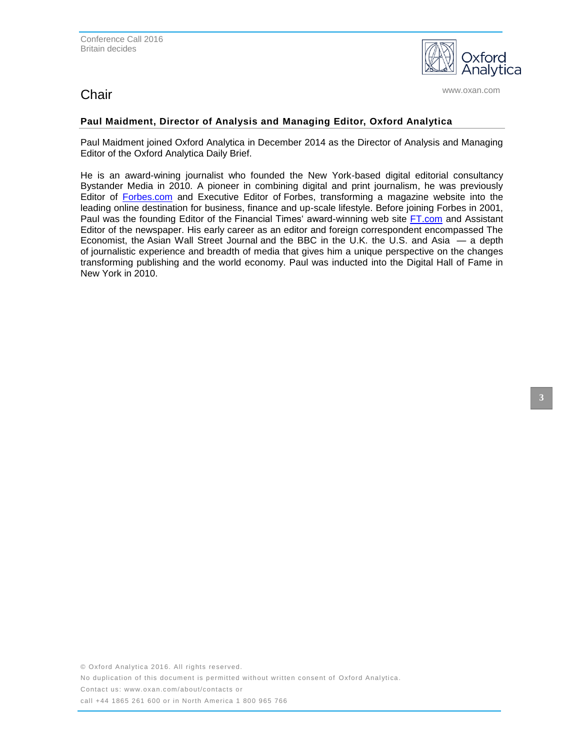## **Chair** www.oxan.com **Chair**

alvtica

### **Paul Maidment, Director of Analysis and Managing Editor, Oxford Analytica**

Paul Maidment joined Oxford Analytica in December 2014 as the Director of Analysis and Managing Editor of the Oxford Analytica Daily Brief.

He is an award-wining journalist who founded the New York-based digital editorial consultancy Bystander Media in 2010. A pioneer in combining digital and print journalism, he was previously Editor of [Forbes.com](http://forbes.com/) and Executive Editor of Forbes, transforming a magazine website into the leading online destination for business, finance and up-scale lifestyle. Before joining Forbes in 2001, Paul was the founding Editor of the Financial Times' award-winning web site [FT.com](http://ft.com/) and Assistant Editor of the newspaper. His early career as an editor and foreign correspondent encompassed The Economist, the Asian Wall Street Journal and the BBC in the U.K. the U.S. and Asia — a depth of journalistic experience and breadth of media that gives him a unique perspective on the changes transforming publishing and the world economy. Paul was inducted into the Digital Hall of Fame in New York in 2010.